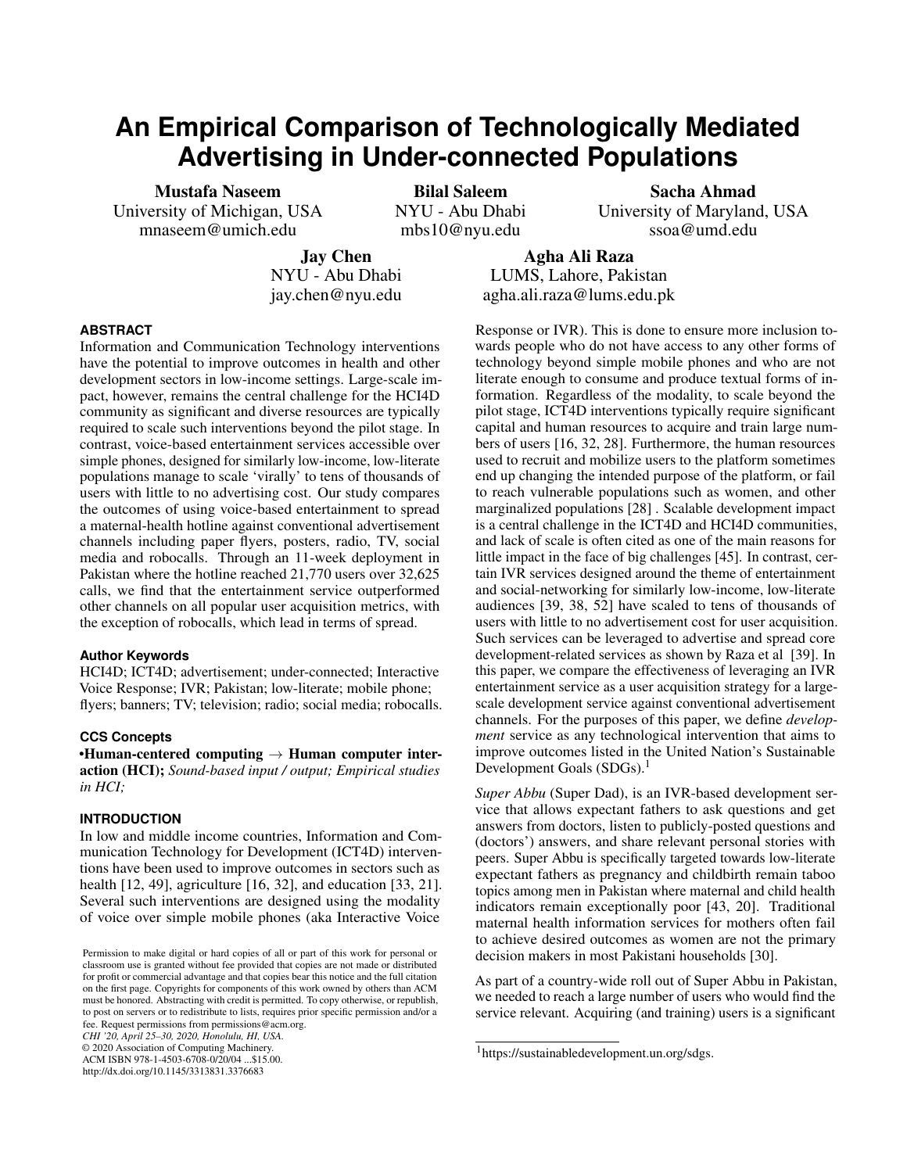# **An Empirical Comparison of Technologically Mediated Advertising in Under-connected Populations**

Mustafa Naseem University of Michigan, USA mnaseem@umich.edu

Bilal Saleem NYU - Abu Dhabi mbs10@nyu.edu

Sacha Ahmad University of Maryland, USA ssoa@umd.edu

Jay Chen NYU - Abu Dhabi jay.chen@nyu.edu

Agha Ali Raza LUMS, Lahore, Pakistan agha.ali.raza@lums.edu.pk

# **ABSTRACT**

Information and Communication Technology interventions have the potential to improve outcomes in health and other development sectors in low-income settings. Large-scale impact, however, remains the central challenge for the HCI4D community as significant and diverse resources are typically required to scale such interventions beyond the pilot stage. In contrast, voice-based entertainment services accessible over simple phones, designed for similarly low-income, low-literate populations manage to scale 'virally' to tens of thousands of users with little to no advertising cost. Our study compares the outcomes of using voice-based entertainment to spread a maternal-health hotline against conventional advertisement channels including paper flyers, posters, radio, TV, social media and robocalls. Through an 11-week deployment in Pakistan where the hotline reached 21,770 users over 32,625 calls, we find that the entertainment service outperformed other channels on all popular user acquisition metrics, with the exception of robocalls, which lead in terms of spread.

#### **Author Keywords**

HCI4D; ICT4D; advertisement; under-connected; Interactive Voice Response; IVR; Pakistan; low-literate; mobile phone; flyers; banners; TV; television; radio; social media; robocalls.

## **CCS Concepts**

•Human-centered computing  $\rightarrow$  Human computer interaction (HCI); *Sound-based input / output; Empirical studies in HCI;*

## **INTRODUCTION**

In low and middle income countries, Information and Communication Technology for Development (ICT4D) interventions have been used to improve outcomes in sectors such as health [\[12,](#page-10-0) [49\]](#page-12-0), agriculture [\[16,](#page-10-1) [32\]](#page-11-0), and education [\[33,](#page-11-1) [21\]](#page-10-2). Several such interventions are designed using the modality of voice over simple mobile phones (aka Interactive Voice

*CHI '20, April 25–30, 2020, Honolulu, HI, USA.*

© 2020 Association of Computing Machinery.

ACM ISBN 978-1-4503-6708-0/20/04 ...\$15.00. http://dx.doi.org/10.1145/3313831.3376683

Response or IVR). This is done to ensure more inclusion towards people who do not have access to any other forms of technology beyond simple mobile phones and who are not literate enough to consume and produce textual forms of information. Regardless of the modality, to scale beyond the pilot stage, ICT4D interventions typically require significant capital and human resources to acquire and train large numbers of users [\[16,](#page-10-1) [32,](#page-11-0) [28\]](#page-11-2). Furthermore, the human resources used to recruit and mobilize users to the platform sometimes end up changing the intended purpose of the platform, or fail to reach vulnerable populations such as women, and other marginalized populations [\[28\]](#page-11-2) . Scalable development impact is a central challenge in the ICT4D and HCI4D communities, and lack of scale is often cited as one of the main reasons for little impact in the face of big challenges [\[45\]](#page-12-1). In contrast, certain IVR services designed around the theme of entertainment and social-networking for similarly low-income, low-literate audiences [\[39,](#page-11-3) [38,](#page-11-4) [52\]](#page-12-2) have scaled to tens of thousands of users with little to no advertisement cost for user acquisition. Such services can be leveraged to advertise and spread core development-related services as shown by Raza et al [\[39\]](#page-11-3). In this paper, we compare the effectiveness of leveraging an IVR entertainment service as a user acquisition strategy for a largescale development service against conventional advertisement channels. For the purposes of this paper, we define *development* service as any technological intervention that aims to improve outcomes listed in the United Nation's Sustainable Development Goals  $(SDGs).<sup>1</sup>$  $(SDGs).<sup>1</sup>$  $(SDGs).<sup>1</sup>$ 

*Super Abbu* (Super Dad), is an IVR-based development service that allows expectant fathers to ask questions and get answers from doctors, listen to publicly-posted questions and (doctors') answers, and share relevant personal stories with peers. Super Abbu is specifically targeted towards low-literate expectant fathers as pregnancy and childbirth remain taboo topics among men in Pakistan where maternal and child health indicators remain exceptionally poor [\[43,](#page-12-3) [20\]](#page-10-3). Traditional maternal health information services for mothers often fail to achieve desired outcomes as women are not the primary decision makers in most Pakistani households [\[30\]](#page-11-5).

As part of a country-wide roll out of Super Abbu in Pakistan, we needed to reach a large number of users who would find the service relevant. Acquiring (and training) users is a significant

Permission to make digital or hard copies of all or part of this work for personal or classroom use is granted without fee provided that copies are not made or distributed for profit or commercial advantage and that copies bear this notice and the full citation on the first page. Copyrights for components of this work owned by others than ACM must be honored. Abstracting with credit is permitted. To copy otherwise, or republish, to post on servers or to redistribute to lists, requires prior specific permission and/or a fee. Request permissions from permissions@acm.org.

<span id="page-0-0"></span><sup>1</sup>https://sustainabledevelopment.un.org/sdgs.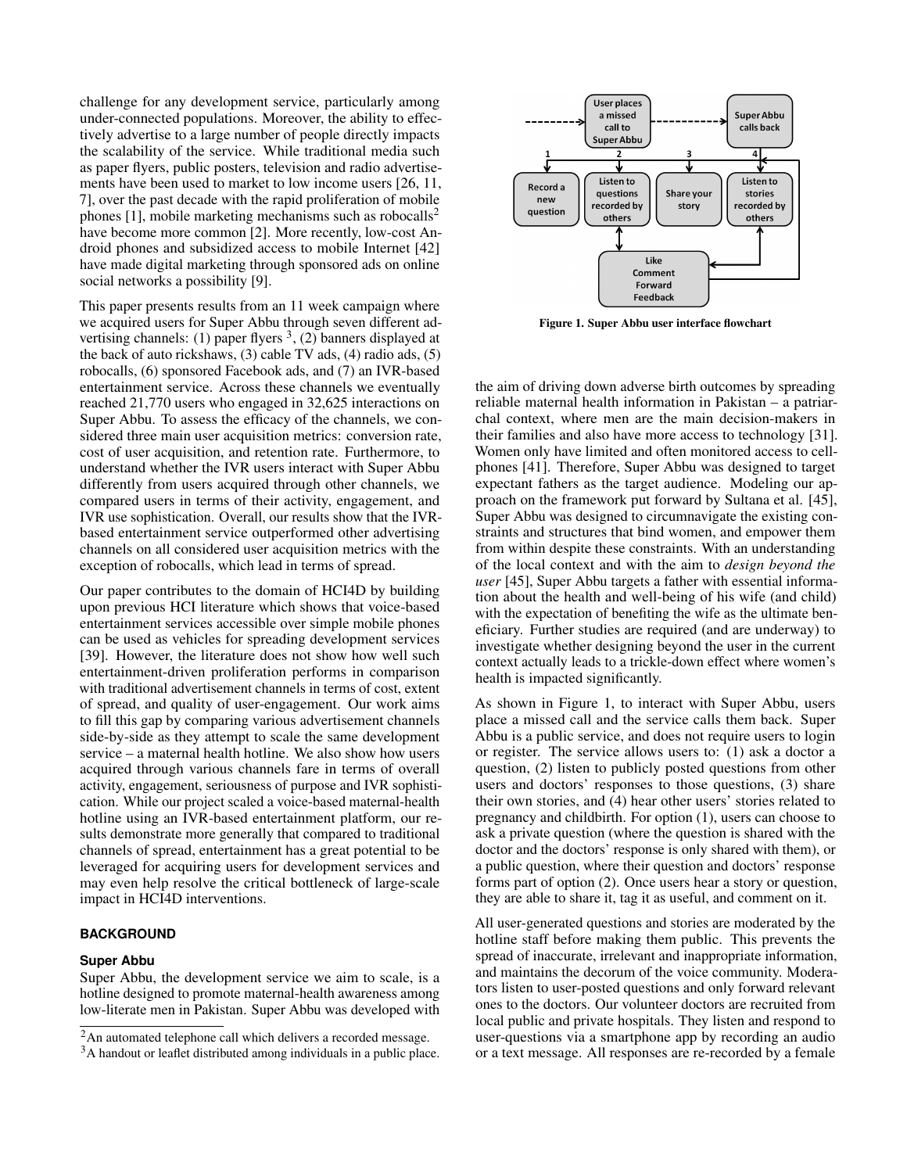challenge for any development service, particularly among under-connected populations. Moreover, the ability to effectively advertise to a large number of people directly impacts the scalability of the service. While traditional media such as paper flyers, public posters, television and radio advertisements have been used to market to low income users [\[26,](#page-11-6) [11,](#page-10-4) [7\]](#page-10-5), over the past decade with the rapid proliferation of mobile phones  $[1]$ , mobile marketing mechanisms such as robocalls<sup>[2](#page-1-0)</sup> have become more common [\[2\]](#page-10-7). More recently, low-cost Android phones and subsidized access to mobile Internet [\[42\]](#page-12-4) have made digital marketing through sponsored ads on online social networks a possibility [\[9\]](#page-10-8).

This paper presents results from an 11 week campaign where we acquired users for Super Abbu through seven different advertising channels: (1) paper flyers  $3$ , (2) banners displayed at the back of auto rickshaws, (3) cable TV ads, (4) radio ads, (5) robocalls, (6) sponsored Facebook ads, and (7) an IVR-based entertainment service. Across these channels we eventually reached 21,770 users who engaged in 32,625 interactions on Super Abbu. To assess the efficacy of the channels, we considered three main user acquisition metrics: conversion rate, cost of user acquisition, and retention rate. Furthermore, to understand whether the IVR users interact with Super Abbu differently from users acquired through other channels, we compared users in terms of their activity, engagement, and IVR use sophistication. Overall, our results show that the IVRbased entertainment service outperformed other advertising channels on all considered user acquisition metrics with the exception of robocalls, which lead in terms of spread.

Our paper contributes to the domain of HCI4D by building upon previous HCI literature which shows that voice-based entertainment services accessible over simple mobile phones can be used as vehicles for spreading development services [\[39\]](#page-11-3). However, the literature does not show how well such entertainment-driven proliferation performs in comparison with traditional advertisement channels in terms of cost, extent of spread, and quality of user-engagement. Our work aims to fill this gap by comparing various advertisement channels side-by-side as they attempt to scale the same development service – a maternal health hotline. We also show how users acquired through various channels fare in terms of overall activity, engagement, seriousness of purpose and IVR sophistication. While our project scaled a voice-based maternal-health hotline using an IVR-based entertainment platform, our results demonstrate more generally that compared to traditional channels of spread, entertainment has a great potential to be leveraged for acquiring users for development services and may even help resolve the critical bottleneck of large-scale impact in HCI4D interventions.

## **BACKGROUND**

#### **Super Abbu**

Super Abbu, the development service we aim to scale, is a hotline designed to promote maternal-health awareness among low-literate men in Pakistan. Super Abbu was developed with



<span id="page-1-2"></span>Figure 1. Super Abbu user interface flowchart

the aim of driving down adverse birth outcomes by spreading reliable maternal health information in Pakistan – a patriarchal context, where men are the main decision-makers in their families and also have more access to technology [\[31\]](#page-11-7). Women only have limited and often monitored access to cellphones [\[41\]](#page-12-5). Therefore, Super Abbu was designed to target expectant fathers as the target audience. Modeling our approach on the framework put forward by Sultana et al. [\[45\]](#page-12-1), Super Abbu was designed to circumnavigate the existing constraints and structures that bind women, and empower them from within despite these constraints. With an understanding of the local context and with the aim to *design beyond the user* [\[45\]](#page-12-1), Super Abbu targets a father with essential information about the health and well-being of his wife (and child) with the expectation of benefiting the wife as the ultimate beneficiary. Further studies are required (and are underway) to investigate whether designing beyond the user in the current context actually leads to a trickle-down effect where women's health is impacted significantly.

As shown in Figure [1,](#page-1-2) to interact with Super Abbu, users place a missed call and the service calls them back. Super Abbu is a public service, and does not require users to login or register. The service allows users to: (1) ask a doctor a question, (2) listen to publicly posted questions from other users and doctors' responses to those questions, (3) share their own stories, and (4) hear other users' stories related to pregnancy and childbirth. For option (1), users can choose to ask a private question (where the question is shared with the doctor and the doctors' response is only shared with them), or a public question, where their question and doctors' response forms part of option (2). Once users hear a story or question, they are able to share it, tag it as useful, and comment on it.

All user-generated questions and stories are moderated by the hotline staff before making them public. This prevents the spread of inaccurate, irrelevant and inappropriate information, and maintains the decorum of the voice community. Moderators listen to user-posted questions and only forward relevant ones to the doctors. Our volunteer doctors are recruited from local public and private hospitals. They listen and respond to user-questions via a smartphone app by recording an audio or a text message. All responses are re-recorded by a female

<span id="page-1-0"></span><sup>&</sup>lt;sup>2</sup>An automated telephone call which delivers a recorded message.

<span id="page-1-1"></span><sup>&</sup>lt;sup>3</sup>A handout or leaflet distributed among individuals in a public place.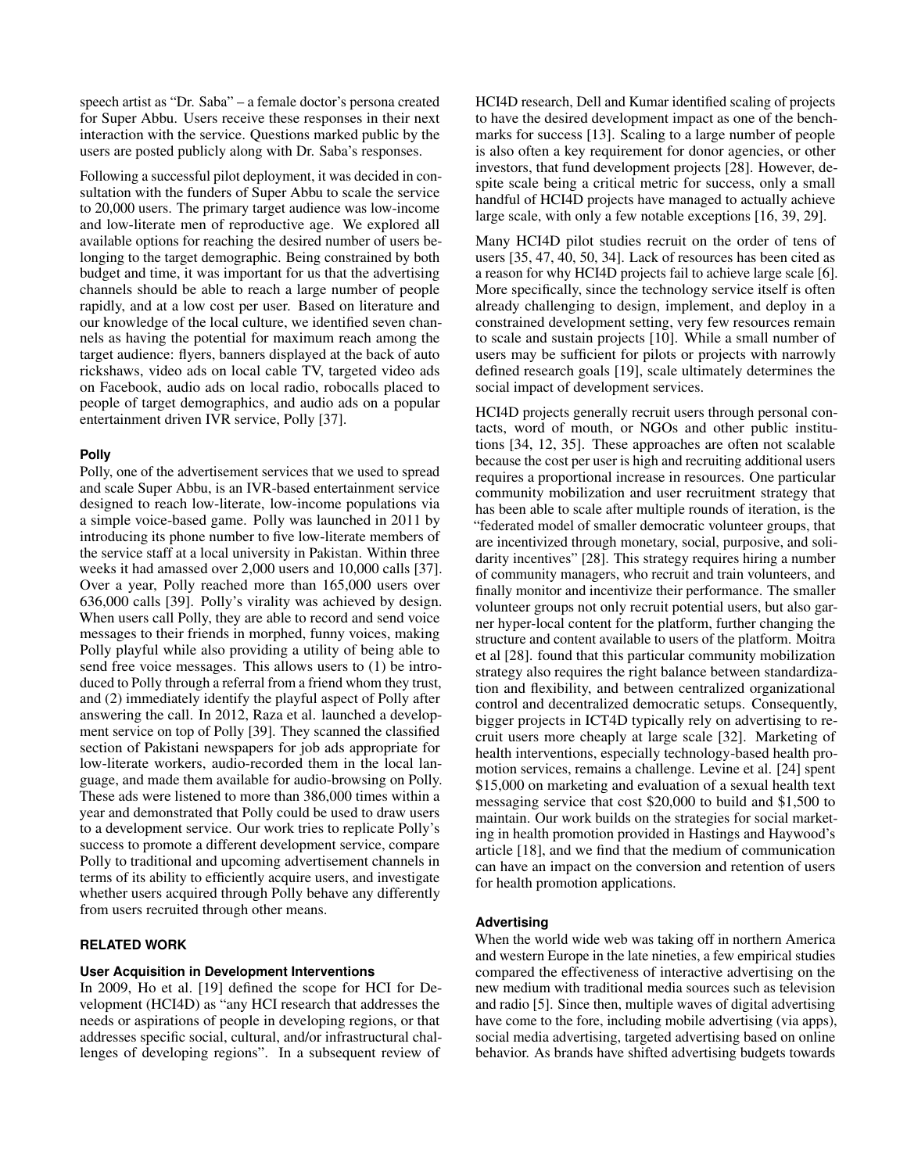speech artist as "Dr. Saba" – a female doctor's persona created for Super Abbu. Users receive these responses in their next interaction with the service. Questions marked public by the users are posted publicly along with Dr. Saba's responses.

Following a successful pilot deployment, it was decided in consultation with the funders of Super Abbu to scale the service to 20,000 users. The primary target audience was low-income and low-literate men of reproductive age. We explored all available options for reaching the desired number of users belonging to the target demographic. Being constrained by both budget and time, it was important for us that the advertising channels should be able to reach a large number of people rapidly, and at a low cost per user. Based on literature and our knowledge of the local culture, we identified seven channels as having the potential for maximum reach among the target audience: flyers, banners displayed at the back of auto rickshaws, video ads on local cable TV, targeted video ads on Facebook, audio ads on local radio, robocalls placed to people of target demographics, and audio ads on a popular entertainment driven IVR service, Polly [\[37\]](#page-11-8).

# **Polly**

Polly, one of the advertisement services that we used to spread and scale Super Abbu, is an IVR-based entertainment service designed to reach low-literate, low-income populations via a simple voice-based game. Polly was launched in 2011 by introducing its phone number to five low-literate members of the service staff at a local university in Pakistan. Within three weeks it had amassed over 2,000 users and 10,000 calls [\[37\]](#page-11-8). Over a year, Polly reached more than 165,000 users over 636,000 calls [\[39\]](#page-11-3). Polly's virality was achieved by design. When users call Polly, they are able to record and send voice messages to their friends in morphed, funny voices, making Polly playful while also providing a utility of being able to send free voice messages. This allows users to (1) be introduced to Polly through a referral from a friend whom they trust, and (2) immediately identify the playful aspect of Polly after answering the call. In 2012, Raza et al. launched a development service on top of Polly [\[39\]](#page-11-3). They scanned the classified section of Pakistani newspapers for job ads appropriate for low-literate workers, audio-recorded them in the local language, and made them available for audio-browsing on Polly. These ads were listened to more than 386,000 times within a year and demonstrated that Polly could be used to draw users to a development service. Our work tries to replicate Polly's success to promote a different development service, compare Polly to traditional and upcoming advertisement channels in terms of its ability to efficiently acquire users, and investigate whether users acquired through Polly behave any differently from users recruited through other means.

# **RELATED WORK**

## **User Acquisition in Development Interventions**

In 2009, Ho et al. [\[19\]](#page-10-9) defined the scope for HCI for Development (HCI4D) as "any HCI research that addresses the needs or aspirations of people in developing regions, or that addresses specific social, cultural, and/or infrastructural challenges of developing regions". In a subsequent review of HCI4D research, Dell and Kumar identified scaling of projects to have the desired development impact as one of the benchmarks for success [\[13\]](#page-10-10). Scaling to a large number of people is also often a key requirement for donor agencies, or other investors, that fund development projects [\[28\]](#page-11-2). However, despite scale being a critical metric for success, only a small handful of HCI4D projects have managed to actually achieve large scale, with only a few notable exceptions [\[16,](#page-10-1) [39,](#page-11-3) [29\]](#page-11-9).

Many HCI4D pilot studies recruit on the order of tens of users [\[35,](#page-11-10) [47,](#page-12-6) [40,](#page-11-11) [50,](#page-12-7) [34\]](#page-11-12). Lack of resources has been cited as a reason for why HCI4D projects fail to achieve large scale [\[6\]](#page-10-11). More specifically, since the technology service itself is often already challenging to design, implement, and deploy in a constrained development setting, very few resources remain to scale and sustain projects [\[10\]](#page-10-12). While a small number of users may be sufficient for pilots or projects with narrowly defined research goals [\[19\]](#page-10-9), scale ultimately determines the social impact of development services.

HCI4D projects generally recruit users through personal contacts, word of mouth, or NGOs and other public institutions [\[34,](#page-11-12) [12,](#page-10-0) [35\]](#page-11-10). These approaches are often not scalable because the cost per user is high and recruiting additional users requires a proportional increase in resources. One particular community mobilization and user recruitment strategy that has been able to scale after multiple rounds of iteration, is the "federated model of smaller democratic volunteer groups, that are incentivized through monetary, social, purposive, and solidarity incentives" [\[28\]](#page-11-2). This strategy requires hiring a number of community managers, who recruit and train volunteers, and finally monitor and incentivize their performance. The smaller volunteer groups not only recruit potential users, but also garner hyper-local content for the platform, further changing the structure and content available to users of the platform. Moitra et al [\[28\]](#page-11-2). found that this particular community mobilization strategy also requires the right balance between standardization and flexibility, and between centralized organizational control and decentralized democratic setups. Consequently, bigger projects in ICT4D typically rely on advertising to recruit users more cheaply at large scale [\[32\]](#page-11-0). Marketing of health interventions, especially technology-based health promotion services, remains a challenge. Levine et al. [\[24\]](#page-11-13) spent \$15,000 on marketing and evaluation of a sexual health text messaging service that cost \$20,000 to build and \$1,500 to maintain. Our work builds on the strategies for social marketing in health promotion provided in Hastings and Haywood's article [\[18\]](#page-10-13), and we find that the medium of communication can have an impact on the conversion and retention of users for health promotion applications.

## **Advertising**

When the world wide web was taking off in northern America and western Europe in the late nineties, a few empirical studies compared the effectiveness of interactive advertising on the new medium with traditional media sources such as television and radio [\[5\]](#page-10-14). Since then, multiple waves of digital advertising have come to the fore, including mobile advertising (via apps), social media advertising, targeted advertising based on online behavior. As brands have shifted advertising budgets towards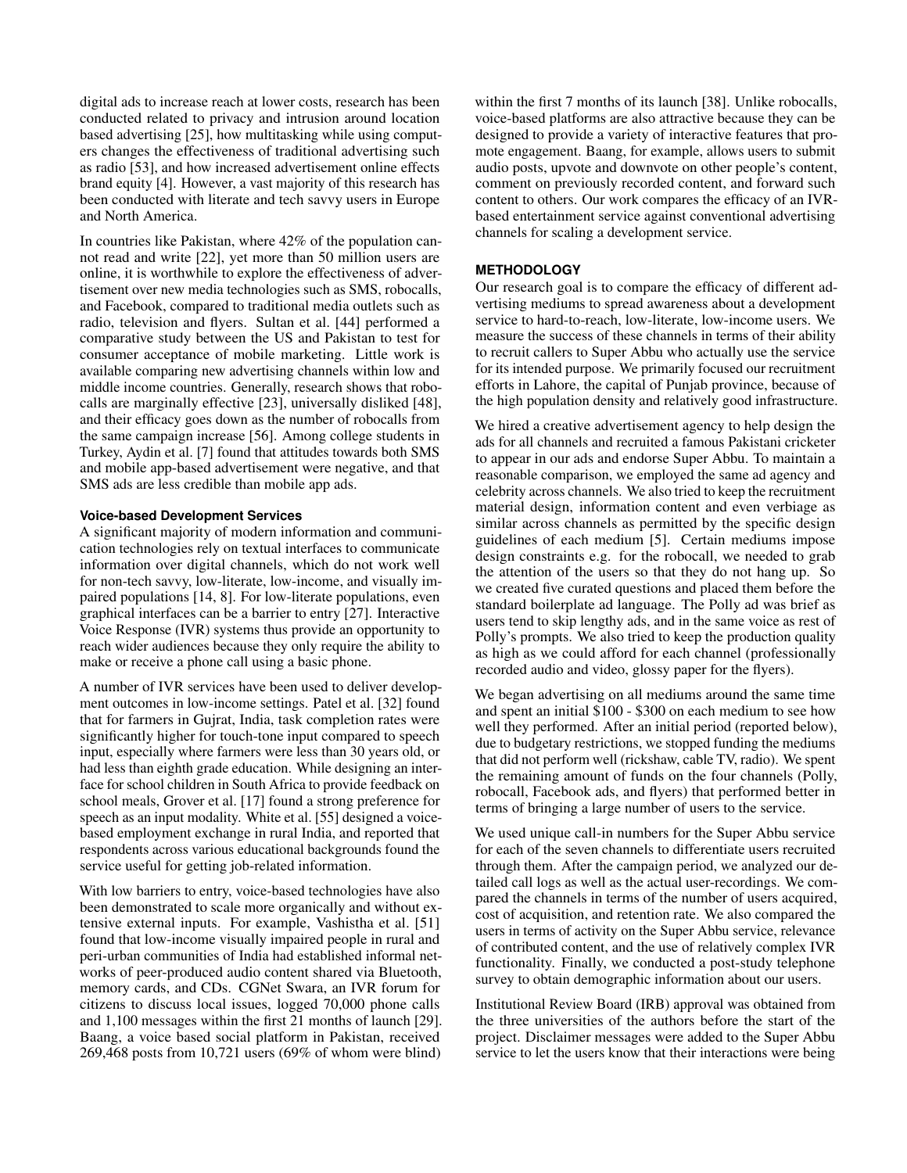digital ads to increase reach at lower costs, research has been conducted related to privacy and intrusion around location based advertising [\[25\]](#page-11-14), how multitasking while using computers changes the effectiveness of traditional advertising such as radio [\[53\]](#page-12-8), and how increased advertisement online effects brand equity [\[4\]](#page-10-15). However, a vast majority of this research has been conducted with literate and tech savvy users in Europe and North America.

In countries like Pakistan, where 42% of the population cannot read and write [\[22\]](#page-10-16), yet more than 50 million users are online, it is worthwhile to explore the effectiveness of advertisement over new media technologies such as SMS, robocalls, and Facebook, compared to traditional media outlets such as radio, television and flyers. Sultan et al. [\[44\]](#page-12-9) performed a comparative study between the US and Pakistan to test for consumer acceptance of mobile marketing. Little work is available comparing new advertising channels within low and middle income countries. Generally, research shows that robocalls are marginally effective [\[23\]](#page-10-17), universally disliked [\[48\]](#page-12-10), and their efficacy goes down as the number of robocalls from the same campaign increase [\[56\]](#page-12-11). Among college students in Turkey, Aydin et al. [\[7\]](#page-10-5) found that attitudes towards both SMS and mobile app-based advertisement were negative, and that SMS ads are less credible than mobile app ads.

## **Voice-based Development Services**

A significant majority of modern information and communication technologies rely on textual interfaces to communicate information over digital channels, which do not work well for non-tech savvy, low-literate, low-income, and visually impaired populations [\[14,](#page-10-18) [8\]](#page-10-19). For low-literate populations, even graphical interfaces can be a barrier to entry [\[27\]](#page-11-15). Interactive Voice Response (IVR) systems thus provide an opportunity to reach wider audiences because they only require the ability to make or receive a phone call using a basic phone.

A number of IVR services have been used to deliver development outcomes in low-income settings. Patel et al. [\[32\]](#page-11-0) found that for farmers in Gujrat, India, task completion rates were significantly higher for touch-tone input compared to speech input, especially where farmers were less than 30 years old, or had less than eighth grade education. While designing an interface for school children in South Africa to provide feedback on school meals, Grover et al. [\[17\]](#page-10-20) found a strong preference for speech as an input modality. White et al. [\[55\]](#page-12-12) designed a voicebased employment exchange in rural India, and reported that respondents across various educational backgrounds found the service useful for getting job-related information.

With low barriers to entry, voice-based technologies have also been demonstrated to scale more organically and without extensive external inputs. For example, Vashistha et al. [\[51\]](#page-12-13) found that low-income visually impaired people in rural and peri-urban communities of India had established informal networks of peer-produced audio content shared via Bluetooth, memory cards, and CDs. CGNet Swara, an IVR forum for citizens to discuss local issues, logged 70,000 phone calls and 1,100 messages within the first 21 months of launch [\[29\]](#page-11-9). Baang, a voice based social platform in Pakistan, received 269,468 posts from 10,721 users (69% of whom were blind)

within the first 7 months of its launch [\[38\]](#page-11-4). Unlike robocalls, voice-based platforms are also attractive because they can be designed to provide a variety of interactive features that promote engagement. Baang, for example, allows users to submit audio posts, upvote and downvote on other people's content, comment on previously recorded content, and forward such content to others. Our work compares the efficacy of an IVRbased entertainment service against conventional advertising channels for scaling a development service.

## **METHODOLOGY**

Our research goal is to compare the efficacy of different advertising mediums to spread awareness about a development service to hard-to-reach, low-literate, low-income users. We measure the success of these channels in terms of their ability to recruit callers to Super Abbu who actually use the service for its intended purpose. We primarily focused our recruitment efforts in Lahore, the capital of Punjab province, because of the high population density and relatively good infrastructure.

We hired a creative advertisement agency to help design the ads for all channels and recruited a famous Pakistani cricketer to appear in our ads and endorse Super Abbu. To maintain a reasonable comparison, we employed the same ad agency and celebrity across channels. We also tried to keep the recruitment material design, information content and even verbiage as similar across channels as permitted by the specific design guidelines of each medium [\[5\]](#page-10-14). Certain mediums impose design constraints e.g. for the robocall, we needed to grab the attention of the users so that they do not hang up. So we created five curated questions and placed them before the standard boilerplate ad language. The Polly ad was brief as users tend to skip lengthy ads, and in the same voice as rest of Polly's prompts. We also tried to keep the production quality as high as we could afford for each channel (professionally recorded audio and video, glossy paper for the flyers).

We began advertising on all mediums around the same time and spent an initial \$100 - \$300 on each medium to see how well they performed. After an initial period (reported below), due to budgetary restrictions, we stopped funding the mediums that did not perform well (rickshaw, cable TV, radio). We spent the remaining amount of funds on the four channels (Polly, robocall, Facebook ads, and flyers) that performed better in terms of bringing a large number of users to the service.

We used unique call-in numbers for the Super Abbu service for each of the seven channels to differentiate users recruited through them. After the campaign period, we analyzed our detailed call logs as well as the actual user-recordings. We compared the channels in terms of the number of users acquired, cost of acquisition, and retention rate. We also compared the users in terms of activity on the Super Abbu service, relevance of contributed content, and the use of relatively complex IVR functionality. Finally, we conducted a post-study telephone survey to obtain demographic information about our users.

Institutional Review Board (IRB) approval was obtained from the three universities of the authors before the start of the project. Disclaimer messages were added to the Super Abbu service to let the users know that their interactions were being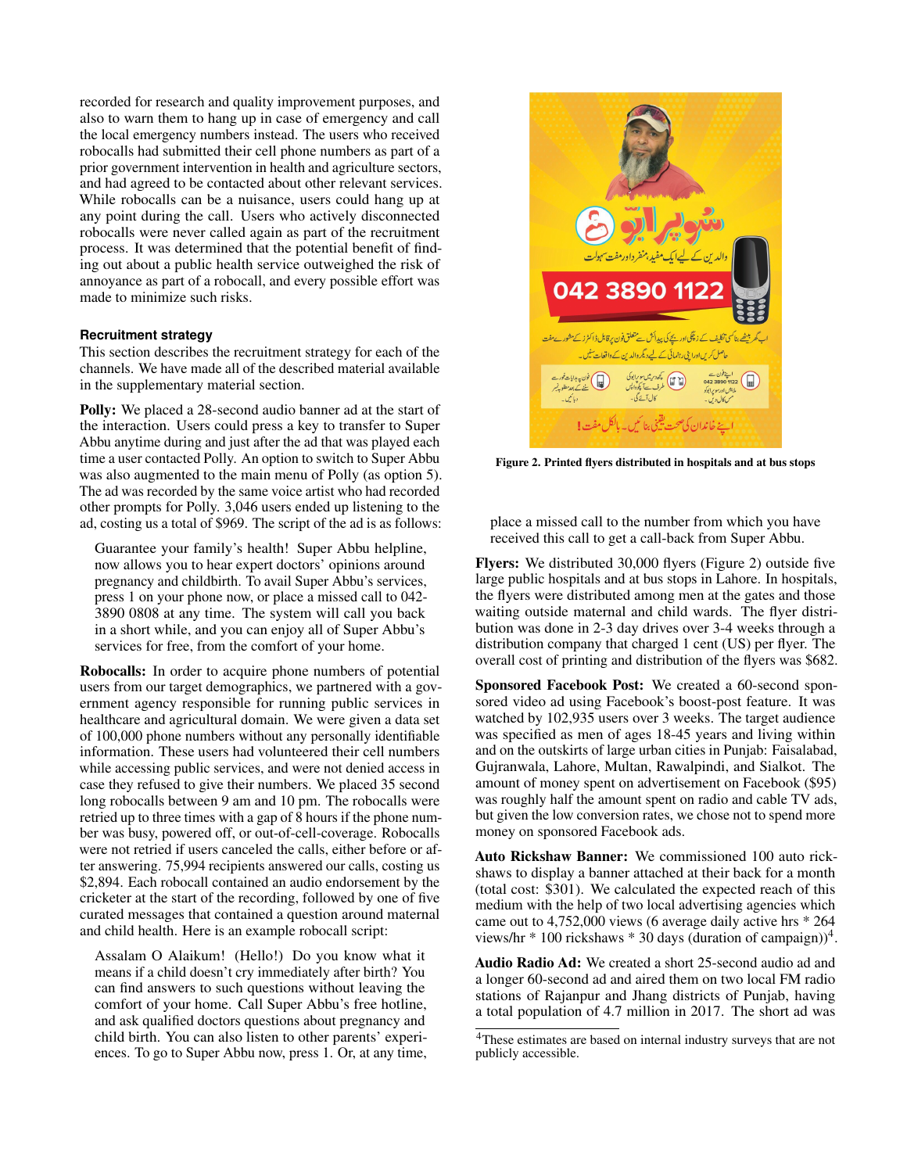recorded for research and quality improvement purposes, and also to warn them to hang up in case of emergency and call the local emergency numbers instead. The users who received robocalls had submitted their cell phone numbers as part of a prior government intervention in health and agriculture sectors, and had agreed to be contacted about other relevant services. While robocalls can be a nuisance, users could hang up at any point during the call. Users who actively disconnected robocalls were never called again as part of the recruitment process. It was determined that the potential benefit of finding out about a public health service outweighed the risk of annoyance as part of a robocall, and every possible effort was made to minimize such risks.

#### **Recruitment strategy**

This section describes the recruitment strategy for each of the channels. We have made all of the described material available in the supplementary material section.

Polly: We placed a 28-second audio banner ad at the start of the interaction. Users could press a key to transfer to Super Abbu anytime during and just after the ad that was played each time a user contacted Polly. An option to switch to Super Abbu was also augmented to the main menu of Polly (as option 5). The ad was recorded by the same voice artist who had recorded other prompts for Polly. 3,046 users ended up listening to the ad, costing us a total of \$969. The script of the ad is as follows:

Guarantee your family's health! Super Abbu helpline, now allows you to hear expert doctors' opinions around pregnancy and childbirth. To avail Super Abbu's services, press 1 on your phone now, or place a missed call to 042- 3890 0808 at any time. The system will call you back in a short while, and you can enjoy all of Super Abbu's services for free, from the comfort of your home.

Robocalls: In order to acquire phone numbers of potential users from our target demographics, we partnered with a government agency responsible for running public services in healthcare and agricultural domain. We were given a data set of 100,000 phone numbers without any personally identifiable information. These users had volunteered their cell numbers while accessing public services, and were not denied access in case they refused to give their numbers. We placed 35 second long robocalls between 9 am and 10 pm. The robocalls were retried up to three times with a gap of 8 hours if the phone number was busy, powered off, or out-of-cell-coverage. Robocalls were not retried if users canceled the calls, either before or after answering. 75,994 recipients answered our calls, costing us \$2,894. Each robocall contained an audio endorsement by the cricketer at the start of the recording, followed by one of five curated messages that contained a question around maternal and child health. Here is an example robocall script:

Assalam O Alaikum! (Hello!) Do you know what it means if a child doesn't cry immediately after birth? You can find answers to such questions without leaving the comfort of your home. Call Super Abbu's free hotline, and ask qualified doctors questions about pregnancy and child birth. You can also listen to other parents' experiences. To go to Super Abbu now, press 1. Or, at any time,



Figure 2. Printed flyers distributed in hospitals and at bus stops

<span id="page-4-0"></span>place a missed call to the number from which you have received this call to get a call-back from Super Abbu.

Flyers: We distributed 30,000 flyers (Figure [2\)](#page-4-0) outside five large public hospitals and at bus stops in Lahore. In hospitals, the flyers were distributed among men at the gates and those waiting outside maternal and child wards. The flyer distribution was done in 2-3 day drives over 3-4 weeks through a distribution company that charged 1 cent (US) per flyer. The overall cost of printing and distribution of the flyers was \$682.

Sponsored Facebook Post: We created a 60-second sponsored video ad using Facebook's boost-post feature. It was watched by 102,935 users over 3 weeks. The target audience was specified as men of ages 18-45 years and living within and on the outskirts of large urban cities in Punjab: Faisalabad, Gujranwala, Lahore, Multan, Rawalpindi, and Sialkot. The amount of money spent on advertisement on Facebook (\$95) was roughly half the amount spent on radio and cable TV ads, but given the low conversion rates, we chose not to spend more money on sponsored Facebook ads.

Auto Rickshaw Banner: We commissioned 100 auto rickshaws to display a banner attached at their back for a month (total cost: \$301). We calculated the expected reach of this medium with the help of two local advertising agencies which came out to 4,752,000 views (6 average daily active hrs \* 264 views/hr  $*$  100 rickshaws  $*$  30 days (duration of campaign))<sup>[4](#page-4-1)</sup>.

Audio Radio Ad: We created a short 25-second audio ad and a longer 60-second ad and aired them on two local FM radio stations of Rajanpur and Jhang districts of Punjab, having a total population of 4.7 million in 2017. The short ad was

<span id="page-4-1"></span><sup>4</sup>These estimates are based on internal industry surveys that are not publicly accessible.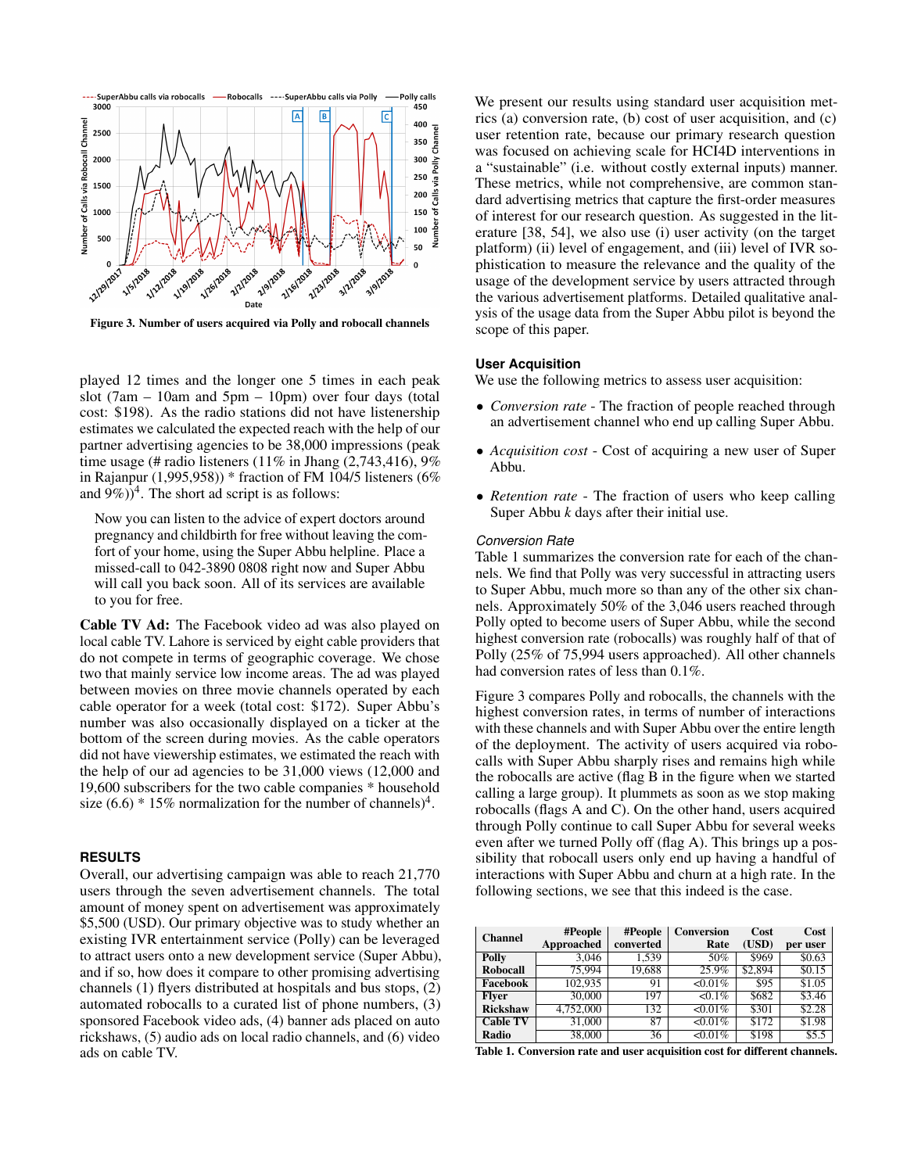

<span id="page-5-1"></span>Figure 3. Number of users acquired via Polly and robocall channels

played 12 times and the longer one 5 times in each peak slot (7am  $-$  10am and 5pm  $-$  10pm) over four days (total cost: \$198). As the radio stations did not have listenership estimates we calculated the expected reach with the help of our partner advertising agencies to be 38,000 impressions (peak time usage (# radio listeners  $(11\%$  in Jhang  $(2,743,416)$ , 9% in Rajanpur (1,995,958)) \* fraction of FM 104/5 listeners (6% and  $(9\%)^4$ . The short ad script is as follows:

Now you can listen to the advice of expert doctors around pregnancy and childbirth for free without leaving the comfort of your home, using the Super Abbu helpline. Place a missed-call to 042-3890 0808 right now and Super Abbu will call you back soon. All of its services are available to you for free.

Cable TV Ad: The Facebook video ad was also played on local cable TV. Lahore is serviced by eight cable providers that do not compete in terms of geographic coverage. We chose two that mainly service low income areas. The ad was played between movies on three movie channels operated by each cable operator for a week (total cost: \$172). Super Abbu's number was also occasionally displayed on a ticker at the bottom of the screen during movies. As the cable operators did not have viewership estimates, we estimated the reach with the help of our ad agencies to be 31,000 views (12,000 and 19,600 subscribers for the two cable companies \* household size  $(6.6) * 15\%$  normalization for the number of channels)<sup>4</sup>.

## **RESULTS**

Overall, our advertising campaign was able to reach 21,770 users through the seven advertisement channels. The total amount of money spent on advertisement was approximately \$5,500 (USD). Our primary objective was to study whether an existing IVR entertainment service (Polly) can be leveraged to attract users onto a new development service (Super Abbu), and if so, how does it compare to other promising advertising channels (1) flyers distributed at hospitals and bus stops, (2) automated robocalls to a curated list of phone numbers, (3) sponsored Facebook video ads, (4) banner ads placed on auto rickshaws, (5) audio ads on local radio channels, and (6) video ads on cable TV.

We present our results using standard user acquisition metrics (a) conversion rate, (b) cost of user acquisition, and (c) user retention rate, because our primary research question was focused on achieving scale for HCI4D interventions in a "sustainable" (i.e. without costly external inputs) manner. These metrics, while not comprehensive, are common standard advertising metrics that capture the first-order measures of interest for our research question. As suggested in the literature [\[38,](#page-11-4) [54\]](#page-12-14), we also use (i) user activity (on the target platform) (ii) level of engagement, and (iii) level of IVR sophistication to measure the relevance and the quality of the usage of the development service by users attracted through the various advertisement platforms. Detailed qualitative analysis of the usage data from the Super Abbu pilot is beyond the scope of this paper.

## **User Acquisition**

We use the following metrics to assess user acquisition:

- *Conversion rate* The fraction of people reached through an advertisement channel who end up calling Super Abbu.
- *Acquisition cost* Cost of acquiring a new user of Super Abbu.
- *Retention rate* The fraction of users who keep calling Super Abbu *k* days after their initial use.

#### *Conversion Rate*

Table [1](#page-5-0) summarizes the conversion rate for each of the channels. We find that Polly was very successful in attracting users to Super Abbu, much more so than any of the other six channels. Approximately 50% of the 3,046 users reached through Polly opted to become users of Super Abbu, while the second highest conversion rate (robocalls) was roughly half of that of Polly (25% of 75,994 users approached). All other channels had conversion rates of less than 0.1%.

Figure [3](#page-5-1) compares Polly and robocalls, the channels with the highest conversion rates, in terms of number of interactions with these channels and with Super Abbu over the entire length of the deployment. The activity of users acquired via robocalls with Super Abbu sharply rises and remains high while the robocalls are active (flag B in the figure when we started calling a large group). It plummets as soon as we stop making robocalls (flags A and C). On the other hand, users acquired through Polly continue to call Super Abbu for several weeks even after we turned Polly off (flag A). This brings up a possibility that robocall users only end up having a handful of interactions with Super Abbu and churn at a high rate. In the following sections, we see that this indeed is the case.

| <b>Channel</b>  | #People<br>Approached | #People<br>converted | <b>Conversion</b><br>Rate | Cost<br>(USD) | Cost<br>per user |
|-----------------|-----------------------|----------------------|---------------------------|---------------|------------------|
| Polly           | 3.046                 | 1.539                | 50%                       | \$969         | \$0.63           |
| Robocall        | 75,994                | 19.688               | 25.9%                     | \$2.894       | \$0.15           |
| Facebook        | 102,935               | 91                   | $\leq 0.01\%$             | \$95          | \$1.05           |
| <b>Flver</b>    | 30,000                | 197                  | $\sqrt{0.1\%}$            | \$682         | \$3.46           |
| <b>Rickshaw</b> | 4,752,000             | 132                  | $< 0.01\%$                | \$301         | \$2.28           |
| <b>Cable TV</b> | 31,000                | 87                   | 50.01%                    | \$172         | \$1.98           |
| Radio           | 38,000                | 36                   | 50.01%                    | \$198         | \$5.5            |

<span id="page-5-0"></span>Table 1. Conversion rate and user acquisition cost for different channels.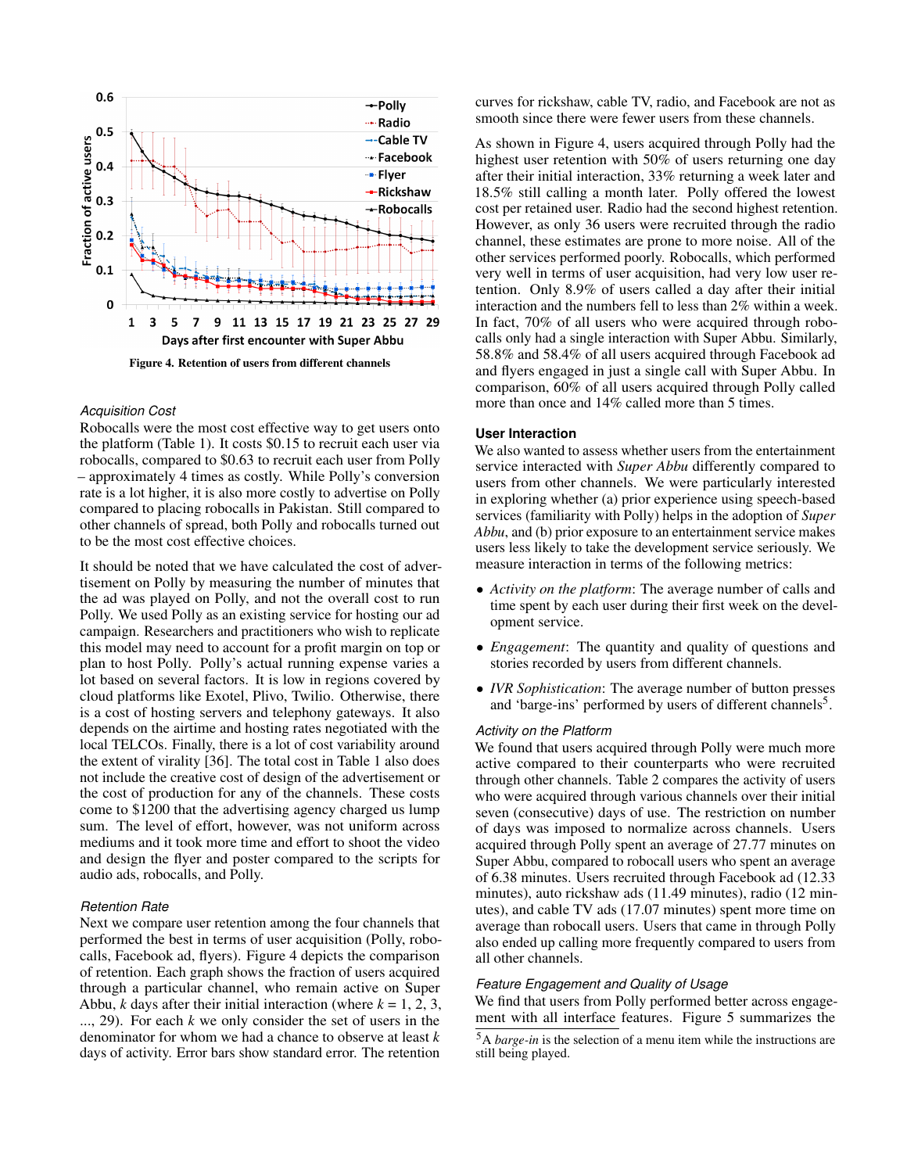

#### <span id="page-6-0"></span>*Acquisition Cost*

Robocalls were the most cost effective way to get users onto the platform (Table [1\)](#page-5-0). It costs \$0.15 to recruit each user via robocalls, compared to \$0.63 to recruit each user from Polly – approximately 4 times as costly. While Polly's conversion rate is a lot higher, it is also more costly to advertise on Polly compared to placing robocalls in Pakistan. Still compared to other channels of spread, both Polly and robocalls turned out to be the most cost effective choices.

It should be noted that we have calculated the cost of advertisement on Polly by measuring the number of minutes that the ad was played on Polly, and not the overall cost to run Polly. We used Polly as an existing service for hosting our ad campaign. Researchers and practitioners who wish to replicate this model may need to account for a profit margin on top or plan to host Polly. Polly's actual running expense varies a lot based on several factors. It is low in regions covered by cloud platforms like Exotel, Plivo, Twilio. Otherwise, there is a cost of hosting servers and telephony gateways. It also depends on the airtime and hosting rates negotiated with the local TELCOs. Finally, there is a lot of cost variability around the extent of virality [\[36\]](#page-11-16). The total cost in Table [1](#page-5-0) also does not include the creative cost of design of the advertisement or the cost of production for any of the channels. These costs come to \$1200 that the advertising agency charged us lump sum. The level of effort, however, was not uniform across mediums and it took more time and effort to shoot the video and design the flyer and poster compared to the scripts for audio ads, robocalls, and Polly.

#### *Retention Rate*

Next we compare user retention among the four channels that performed the best in terms of user acquisition (Polly, robocalls, Facebook ad, flyers). Figure [4](#page-6-0) depicts the comparison of retention. Each graph shows the fraction of users acquired through a particular channel, who remain active on Super Abbu, *k* days after their initial interaction (where  $k = 1, 2, 3$ , ..., 29). For each *k* we only consider the set of users in the denominator for whom we had a chance to observe at least *k* days of activity. Error bars show standard error. The retention

curves for rickshaw, cable TV, radio, and Facebook are not as smooth since there were fewer users from these channels.

As shown in Figure [4,](#page-6-0) users acquired through Polly had the highest user retention with 50% of users returning one day after their initial interaction, 33% returning a week later and 18.5% still calling a month later. Polly offered the lowest cost per retained user. Radio had the second highest retention. However, as only 36 users were recruited through the radio channel, these estimates are prone to more noise. All of the other services performed poorly. Robocalls, which performed very well in terms of user acquisition, had very low user retention. Only 8.9% of users called a day after their initial interaction and the numbers fell to less than 2% within a week. In fact, 70% of all users who were acquired through robocalls only had a single interaction with Super Abbu. Similarly, 58.8% and 58.4% of all users acquired through Facebook ad and flyers engaged in just a single call with Super Abbu. In comparison, 60% of all users acquired through Polly called more than once and 14% called more than 5 times.

#### **User Interaction**

We also wanted to assess whether users from the entertainment service interacted with *Super Abbu* differently compared to users from other channels. We were particularly interested in exploring whether (a) prior experience using speech-based services (familiarity with Polly) helps in the adoption of *Super Abbu*, and (b) prior exposure to an entertainment service makes users less likely to take the development service seriously. We measure interaction in terms of the following metrics:

- *Activity on the platform*: The average number of calls and time spent by each user during their first week on the development service.
- *Engagement*: The quantity and quality of questions and stories recorded by users from different channels.
- *IVR Sophistication*: The average number of button presses and 'barge-ins' performed by users of different channels<sup>[5](#page-6-1)</sup>.

## *Activity on the Platform*

We found that users acquired through Polly were much more active compared to their counterparts who were recruited through other channels. Table [2](#page-7-0) compares the activity of users who were acquired through various channels over their initial seven (consecutive) days of use. The restriction on number of days was imposed to normalize across channels. Users acquired through Polly spent an average of 27.77 minutes on Super Abbu, compared to robocall users who spent an average of 6.38 minutes. Users recruited through Facebook ad (12.33 minutes), auto rickshaw ads (11.49 minutes), radio (12 minutes), and cable TV ads (17.07 minutes) spent more time on average than robocall users. Users that came in through Polly also ended up calling more frequently compared to users from all other channels.

#### *Feature Engagement and Quality of Usage*

We find that users from Polly performed better across engagement with all interface features. Figure [5](#page-7-1) summarizes the

<span id="page-6-1"></span><sup>5</sup>A *barge-in* is the selection of a menu item while the instructions are still being played.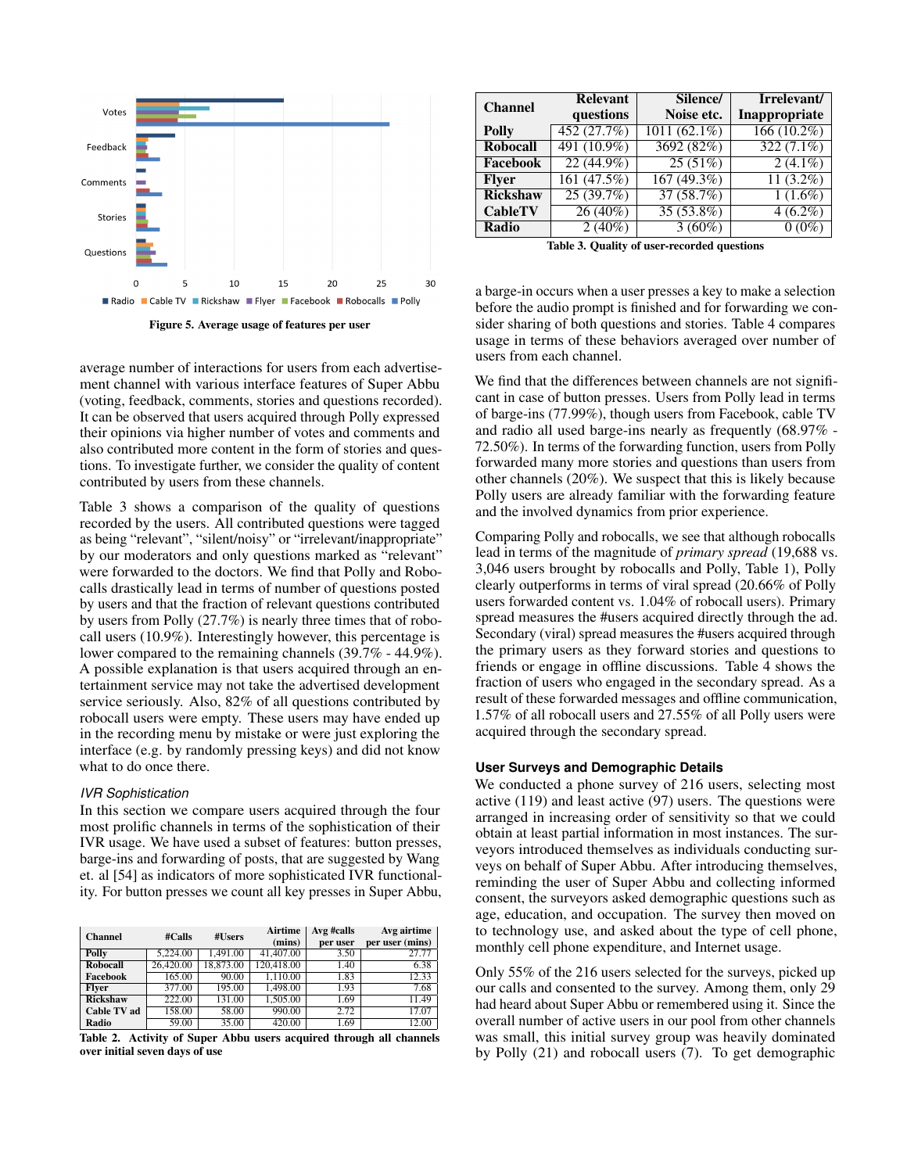

<span id="page-7-1"></span>Figure 5. Average usage of features per user

average number of interactions for users from each advertisement channel with various interface features of Super Abbu (voting, feedback, comments, stories and questions recorded). It can be observed that users acquired through Polly expressed their opinions via higher number of votes and comments and also contributed more content in the form of stories and questions. To investigate further, we consider the quality of content contributed by users from these channels.

Table [3](#page-7-2) shows a comparison of the quality of questions recorded by the users. All contributed questions were tagged as being "relevant", "silent/noisy" or "irrelevant/inappropriate" by our moderators and only questions marked as "relevant" were forwarded to the doctors. We find that Polly and Robocalls drastically lead in terms of number of questions posted by users and that the fraction of relevant questions contributed by users from Polly (27.7%) is nearly three times that of robocall users (10.9%). Interestingly however, this percentage is lower compared to the remaining channels (39.7% - 44.9%). A possible explanation is that users acquired through an entertainment service may not take the advertised development service seriously. Also, 82% of all questions contributed by robocall users were empty. These users may have ended up in the recording menu by mistake or were just exploring the interface (e.g. by randomly pressing keys) and did not know what to do once there.

## *IVR Sophistication*

In this section we compare users acquired through the four most prolific channels in terms of the sophistication of their IVR usage. We have used a subset of features: button presses, barge-ins and forwarding of posts, that are suggested by Wang et. al [\[54\]](#page-12-14) as indicators of more sophisticated IVR functionality. For button presses we count all key presses in Super Abbu,

| <b>Channel</b>     | #Calls    | #Users    | <b>Airtime</b><br>(mins) | Avg #calls<br>per user | Avg airtime<br>per user (mins) |
|--------------------|-----------|-----------|--------------------------|------------------------|--------------------------------|
| Polly              | 5.224.00  | 1.491.00  | 41,407.00                | 3.50                   | 27.77                          |
| Robocall           | 26,420.00 | 18,873.00 | 120.418.00               | 1.40                   | 6.38                           |
| Facebook           | 165.00    | 90.00     | 1.110.00                 | 1.83                   | 12.33                          |
| <b>Flver</b>       | 377.00    | 195.00    | 1,498.00                 | 1.93                   | 7.68                           |
| <b>Rickshaw</b>    | 222.00    | 131.00    | 1.505.00                 | 1.69                   | 11.49                          |
| <b>Cable TV ad</b> | 158.00    | 58.00     | 990.00                   | 2.72                   | 17.07                          |
| Radio              | 59.00     | 35.00     | 420.00                   | 1.69                   | 12.00                          |

<span id="page-7-0"></span>Table 2. Activity of Super Abbu users acquired through all channels over initial seven days of use

| <b>Channel</b>  | <b>Relevant</b> | Silence/        | Irrelevant/   |
|-----------------|-----------------|-----------------|---------------|
|                 | questions       | Noise etc.      | Inappropriate |
| Polly           | 452 (27.7%)     | 1011 $(62.1\%)$ | $166(10.2\%)$ |
| <b>Robocall</b> | 491 (10.9%)     | 3692 (82%)      | $322(7.1\%)$  |
| Facebook        | $22(44.9\%)$    | 25(51%)         | $2(4.1\%)$    |
| <b>Flver</b>    | 161(47.5%)      | 167(49.3%)      | $11(3.2\%)$   |
| <b>Rickshaw</b> | 25(39.7%)       | 37(58.7%)       | $1(1.6\%)$    |
| <b>CableTV</b>  | 26(40%)         | $35(53.8\%)$    | $4(6.2\%)$    |
| Radio           | $2(40\%)$       | $3(60\%)$       | $0(0\%)$      |

<span id="page-7-2"></span>Table 3. Quality of user-recorded questions

a barge-in occurs when a user presses a key to make a selection before the audio prompt is finished and for forwarding we consider sharing of both questions and stories. Table [4](#page-8-0) compares usage in terms of these behaviors averaged over number of users from each channel.

We find that the differences between channels are not significant in case of button presses. Users from Polly lead in terms of barge-ins (77.99%), though users from Facebook, cable TV and radio all used barge-ins nearly as frequently (68.97% - 72.50%). In terms of the forwarding function, users from Polly forwarded many more stories and questions than users from other channels (20%). We suspect that this is likely because Polly users are already familiar with the forwarding feature and the involved dynamics from prior experience.

Comparing Polly and robocalls, we see that although robocalls lead in terms of the magnitude of *primary spread* (19,688 vs. 3,046 users brought by robocalls and Polly, Table [1\)](#page-5-0), Polly clearly outperforms in terms of viral spread (20.66% of Polly users forwarded content vs. 1.04% of robocall users). Primary spread measures the #users acquired directly through the ad. Secondary (viral) spread measures the #users acquired through the primary users as they forward stories and questions to friends or engage in offline discussions. Table [4](#page-8-0) shows the fraction of users who engaged in the secondary spread. As a result of these forwarded messages and offline communication, 1.57% of all robocall users and 27.55% of all Polly users were acquired through the secondary spread.

## **User Surveys and Demographic Details**

We conducted a phone survey of 216 users, selecting most active (119) and least active (97) users. The questions were arranged in increasing order of sensitivity so that we could obtain at least partial information in most instances. The surveyors introduced themselves as individuals conducting surveys on behalf of Super Abbu. After introducing themselves, reminding the user of Super Abbu and collecting informed consent, the surveyors asked demographic questions such as age, education, and occupation. The survey then moved on to technology use, and asked about the type of cell phone, monthly cell phone expenditure, and Internet usage.

Only 55% of the 216 users selected for the surveys, picked up our calls and consented to the survey. Among them, only 29 had heard about Super Abbu or remembered using it. Since the overall number of active users in our pool from other channels was small, this initial survey group was heavily dominated by Polly (21) and robocall users (7). To get demographic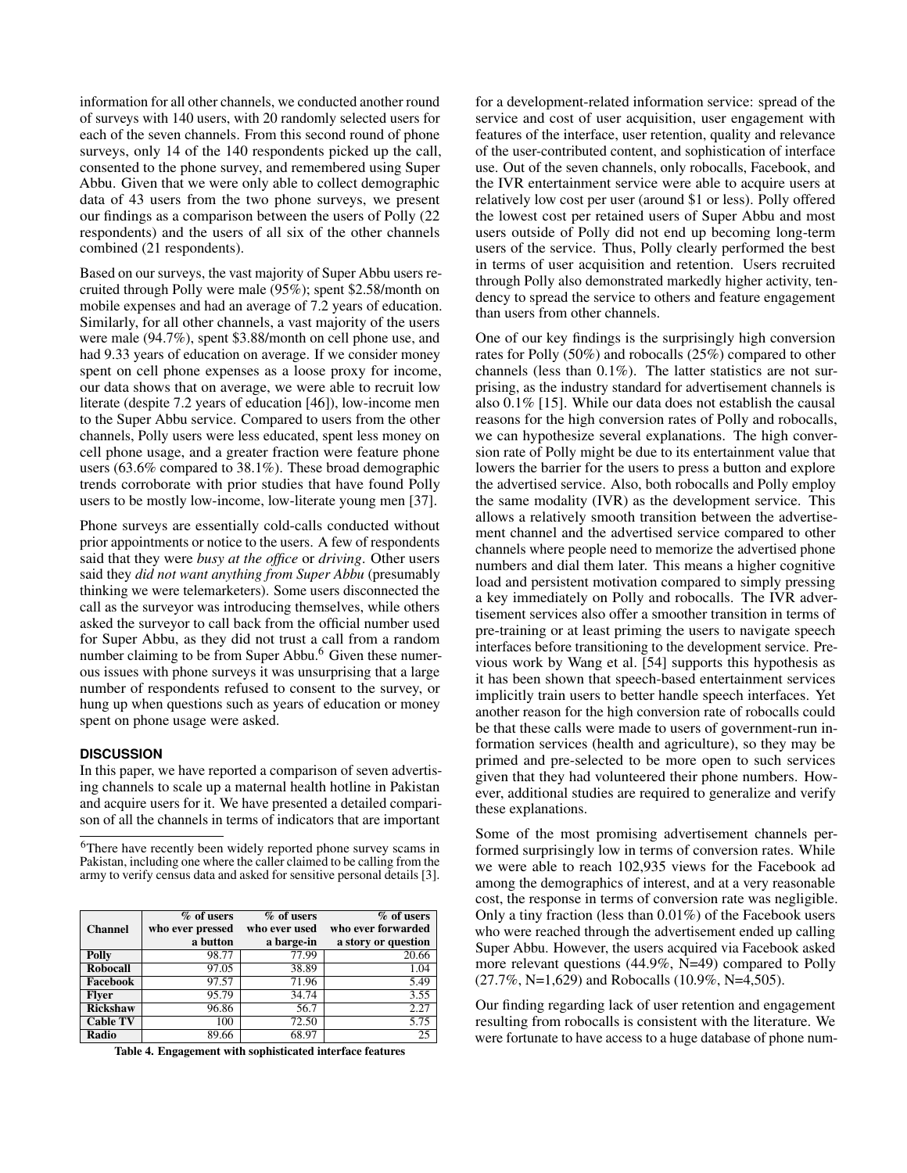information for all other channels, we conducted another round of surveys with 140 users, with 20 randomly selected users for each of the seven channels. From this second round of phone surveys, only 14 of the 140 respondents picked up the call, consented to the phone survey, and remembered using Super Abbu. Given that we were only able to collect demographic data of 43 users from the two phone surveys, we present our findings as a comparison between the users of Polly (22 respondents) and the users of all six of the other channels combined (21 respondents).

Based on our surveys, the vast majority of Super Abbu users recruited through Polly were male (95%); spent \$2.58/month on mobile expenses and had an average of 7.2 years of education. Similarly, for all other channels, a vast majority of the users were male (94.7%), spent \$3.88/month on cell phone use, and had 9.33 years of education on average. If we consider money spent on cell phone expenses as a loose proxy for income, our data shows that on average, we were able to recruit low literate (despite 7.2 years of education [\[46\]](#page-12-15)), low-income men to the Super Abbu service. Compared to users from the other channels, Polly users were less educated, spent less money on cell phone usage, and a greater fraction were feature phone users (63.6% compared to 38.1%). These broad demographic trends corroborate with prior studies that have found Polly users to be mostly low-income, low-literate young men [\[37\]](#page-11-8).

Phone surveys are essentially cold-calls conducted without prior appointments or notice to the users. A few of respondents said that they were *busy at the office* or *driving*. Other users said they *did not want anything from Super Abbu* (presumably thinking we were telemarketers). Some users disconnected the call as the surveyor was introducing themselves, while others asked the surveyor to call back from the official number used for Super Abbu, as they did not trust a call from a random number claiming to be from Super Abbu.<sup>[6](#page-8-1)</sup> Given these numerous issues with phone surveys it was unsurprising that a large number of respondents refused to consent to the survey, or hung up when questions such as years of education or money spent on phone usage were asked.

## **DISCUSSION**

In this paper, we have reported a comparison of seven advertising channels to scale up a maternal health hotline in Pakistan and acquire users for it. We have presented a detailed comparison of all the channels in terms of indicators that are important

<span id="page-8-1"></span><sup>6</sup>There have recently been widely reported phone survey scams in Pakistan, including one where the caller claimed to be calling from the army to verify census data and asked for sensitive personal details [\[3\]](#page-10-21).

| Channel         | $%$ of users<br>who ever pressed<br>a button | $%$ of users<br>who ever used<br>a barge-in | $%$ of users<br>who ever forwarded<br>a story or question |
|-----------------|----------------------------------------------|---------------------------------------------|-----------------------------------------------------------|
| Polly           | 98.77                                        | 77.99                                       | 20.66                                                     |
| <b>Robocall</b> | 97.05                                        | 38.89                                       | 1.04                                                      |
| Facebook        | 97.57                                        | 71.96                                       | 5.49                                                      |
| <b>Flver</b>    | 95.79                                        | 34.74                                       | 3.55                                                      |
| <b>Rickshaw</b> | 96.86                                        | 56.7                                        | 2.27                                                      |
| <b>Cable TV</b> | 100                                          | 72.50                                       | 5.75                                                      |
| Radio           | 89.66                                        | 68.97                                       | 25                                                        |

<span id="page-8-0"></span>Table 4. Engagement with sophisticated interface features

for a development-related information service: spread of the service and cost of user acquisition, user engagement with features of the interface, user retention, quality and relevance of the user-contributed content, and sophistication of interface use. Out of the seven channels, only robocalls, Facebook, and the IVR entertainment service were able to acquire users at relatively low cost per user (around \$1 or less). Polly offered the lowest cost per retained users of Super Abbu and most users outside of Polly did not end up becoming long-term users of the service. Thus, Polly clearly performed the best in terms of user acquisition and retention. Users recruited through Polly also demonstrated markedly higher activity, tendency to spread the service to others and feature engagement than users from other channels.

One of our key findings is the surprisingly high conversion rates for Polly (50%) and robocalls (25%) compared to other channels (less than 0.1%). The latter statistics are not surprising, as the industry standard for advertisement channels is also 0.1% [\[15\]](#page-10-22). While our data does not establish the causal reasons for the high conversion rates of Polly and robocalls, we can hypothesize several explanations. The high conversion rate of Polly might be due to its entertainment value that lowers the barrier for the users to press a button and explore the advertised service. Also, both robocalls and Polly employ the same modality (IVR) as the development service. This allows a relatively smooth transition between the advertisement channel and the advertised service compared to other channels where people need to memorize the advertised phone numbers and dial them later. This means a higher cognitive load and persistent motivation compared to simply pressing a key immediately on Polly and robocalls. The IVR advertisement services also offer a smoother transition in terms of pre-training or at least priming the users to navigate speech interfaces before transitioning to the development service. Previous work by Wang et al. [\[54\]](#page-12-14) supports this hypothesis as it has been shown that speech-based entertainment services implicitly train users to better handle speech interfaces. Yet another reason for the high conversion rate of robocalls could be that these calls were made to users of government-run information services (health and agriculture), so they may be primed and pre-selected to be more open to such services given that they had volunteered their phone numbers. However, additional studies are required to generalize and verify these explanations.

Some of the most promising advertisement channels performed surprisingly low in terms of conversion rates. While we were able to reach 102,935 views for the Facebook ad among the demographics of interest, and at a very reasonable cost, the response in terms of conversion rate was negligible. Only a tiny fraction (less than 0.01%) of the Facebook users who were reached through the advertisement ended up calling Super Abbu. However, the users acquired via Facebook asked more relevant questions (44.9%, N=49) compared to Polly (27.7%, N=1,629) and Robocalls (10.9%, N=4,505).

Our finding regarding lack of user retention and engagement resulting from robocalls is consistent with the literature. We were fortunate to have access to a huge database of phone num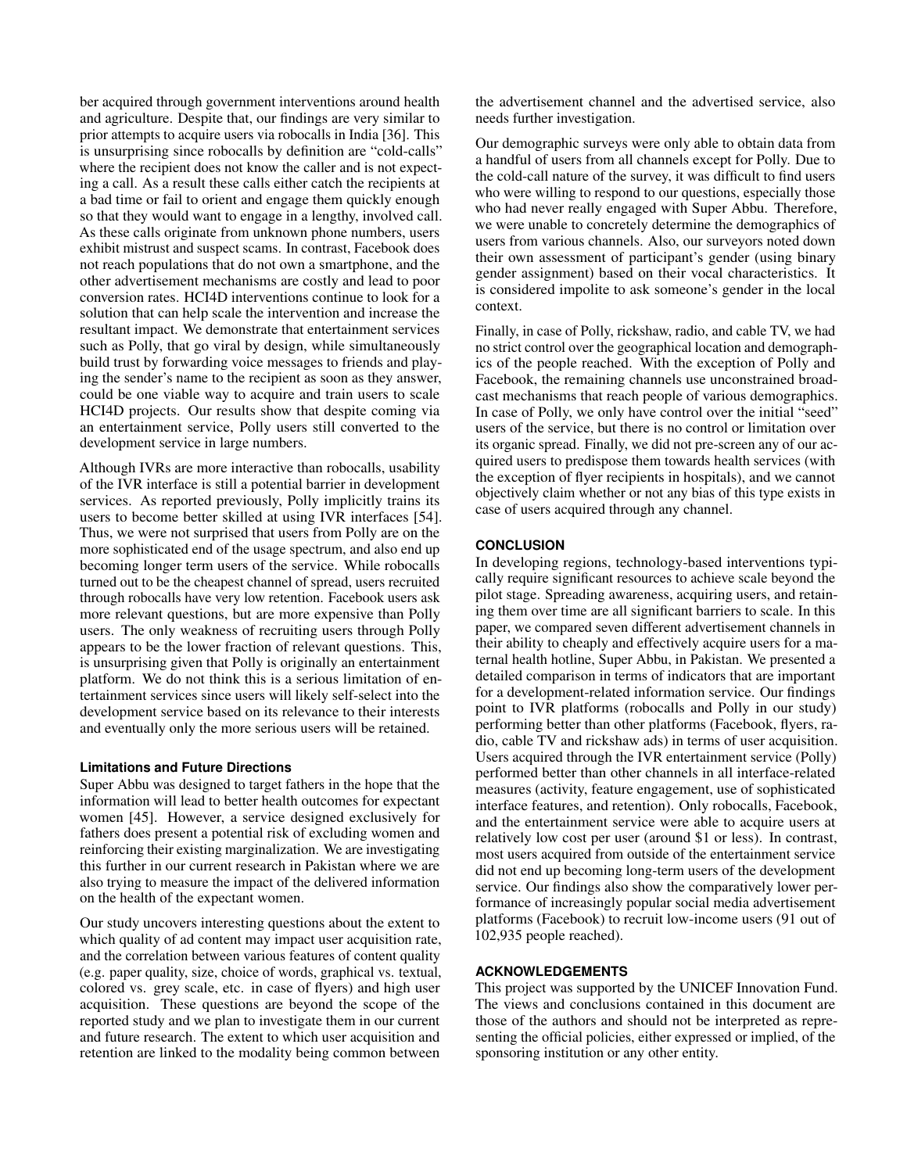ber acquired through government interventions around health and agriculture. Despite that, our findings are very similar to prior attempts to acquire users via robocalls in India [\[36\]](#page-11-16). This is unsurprising since robocalls by definition are "cold-calls" where the recipient does not know the caller and is not expecting a call. As a result these calls either catch the recipients at a bad time or fail to orient and engage them quickly enough so that they would want to engage in a lengthy, involved call. As these calls originate from unknown phone numbers, users exhibit mistrust and suspect scams. In contrast, Facebook does not reach populations that do not own a smartphone, and the other advertisement mechanisms are costly and lead to poor conversion rates. HCI4D interventions continue to look for a solution that can help scale the intervention and increase the resultant impact. We demonstrate that entertainment services such as Polly, that go viral by design, while simultaneously build trust by forwarding voice messages to friends and playing the sender's name to the recipient as soon as they answer, could be one viable way to acquire and train users to scale HCI4D projects. Our results show that despite coming via an entertainment service, Polly users still converted to the development service in large numbers.

Although IVRs are more interactive than robocalls, usability of the IVR interface is still a potential barrier in development services. As reported previously, Polly implicitly trains its users to become better skilled at using IVR interfaces [\[54\]](#page-12-14). Thus, we were not surprised that users from Polly are on the more sophisticated end of the usage spectrum, and also end up becoming longer term users of the service. While robocalls turned out to be the cheapest channel of spread, users recruited through robocalls have very low retention. Facebook users ask more relevant questions, but are more expensive than Polly users. The only weakness of recruiting users through Polly appears to be the lower fraction of relevant questions. This, is unsurprising given that Polly is originally an entertainment platform. We do not think this is a serious limitation of entertainment services since users will likely self-select into the development service based on its relevance to their interests and eventually only the more serious users will be retained.

# **Limitations and Future Directions**

Super Abbu was designed to target fathers in the hope that the information will lead to better health outcomes for expectant women [\[45\]](#page-12-1). However, a service designed exclusively for fathers does present a potential risk of excluding women and reinforcing their existing marginalization. We are investigating this further in our current research in Pakistan where we are also trying to measure the impact of the delivered information on the health of the expectant women.

Our study uncovers interesting questions about the extent to which quality of ad content may impact user acquisition rate, and the correlation between various features of content quality (e.g. paper quality, size, choice of words, graphical vs. textual, colored vs. grey scale, etc. in case of flyers) and high user acquisition. These questions are beyond the scope of the reported study and we plan to investigate them in our current and future research. The extent to which user acquisition and retention are linked to the modality being common between

the advertisement channel and the advertised service, also needs further investigation.

Our demographic surveys were only able to obtain data from a handful of users from all channels except for Polly. Due to the cold-call nature of the survey, it was difficult to find users who were willing to respond to our questions, especially those who had never really engaged with Super Abbu. Therefore, we were unable to concretely determine the demographics of users from various channels. Also, our surveyors noted down their own assessment of participant's gender (using binary gender assignment) based on their vocal characteristics. It is considered impolite to ask someone's gender in the local context.

Finally, in case of Polly, rickshaw, radio, and cable TV, we had no strict control over the geographical location and demographics of the people reached. With the exception of Polly and Facebook, the remaining channels use unconstrained broadcast mechanisms that reach people of various demographics. In case of Polly, we only have control over the initial "seed" users of the service, but there is no control or limitation over its organic spread. Finally, we did not pre-screen any of our acquired users to predispose them towards health services (with the exception of flyer recipients in hospitals), and we cannot objectively claim whether or not any bias of this type exists in case of users acquired through any channel.

# **CONCLUSION**

In developing regions, technology-based interventions typically require significant resources to achieve scale beyond the pilot stage. Spreading awareness, acquiring users, and retaining them over time are all significant barriers to scale. In this paper, we compared seven different advertisement channels in their ability to cheaply and effectively acquire users for a maternal health hotline, Super Abbu, in Pakistan. We presented a detailed comparison in terms of indicators that are important for a development-related information service. Our findings point to IVR platforms (robocalls and Polly in our study) performing better than other platforms (Facebook, flyers, radio, cable TV and rickshaw ads) in terms of user acquisition. Users acquired through the IVR entertainment service (Polly) performed better than other channels in all interface-related measures (activity, feature engagement, use of sophisticated interface features, and retention). Only robocalls, Facebook, and the entertainment service were able to acquire users at relatively low cost per user (around \$1 or less). In contrast, most users acquired from outside of the entertainment service did not end up becoming long-term users of the development service. Our findings also show the comparatively lower performance of increasingly popular social media advertisement platforms (Facebook) to recruit low-income users (91 out of 102,935 people reached).

## **ACKNOWLEDGEMENTS**

This project was supported by the UNICEF Innovation Fund. The views and conclusions contained in this document are those of the authors and should not be interpreted as representing the official policies, either expressed or implied, of the sponsoring institution or any other entity.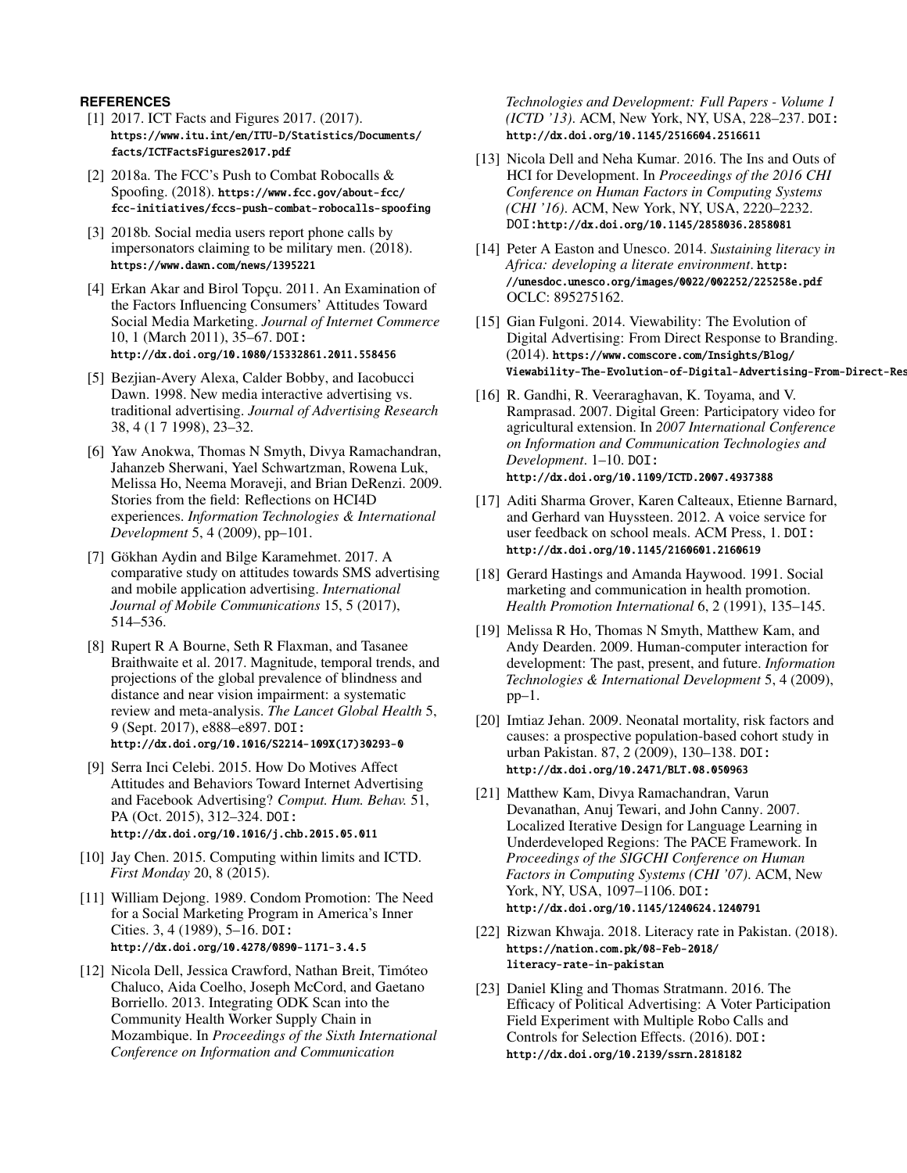# <span id="page-10-6"></span>**REFERENCES**

- [1] 2017. ICT Facts and Figures 2017. (2017). [https://www.itu.int/en/ITU-D/Statistics/Documents/](https://www.itu.int/en/ITU-D/Statistics/Documents/facts/ICTFactsFigures2017.pdf) [facts/ICTFactsFigures2017.pdf](https://www.itu.int/en/ITU-D/Statistics/Documents/facts/ICTFactsFigures2017.pdf)
- <span id="page-10-7"></span>[2] 2018a. The FCC's Push to Combat Robocalls & Spoofing. (2018). [https://www.fcc.gov/about-fcc/](https://www.fcc.gov/about-fcc/fcc-initiatives/fccs-push-combat-robocalls-spoofing) [fcc-initiatives/fccs-push-combat-robocalls-spoofing](https://www.fcc.gov/about-fcc/fcc-initiatives/fccs-push-combat-robocalls-spoofing)
- <span id="page-10-21"></span>[3] 2018b. Social media users report phone calls by impersonators claiming to be military men. (2018). <https://www.dawn.com/news/1395221>
- <span id="page-10-15"></span>[4] Erkan Akar and Birol Topçu. 2011. An Examination of the Factors Influencing Consumers' Attitudes Toward Social Media Marketing. *Journal of Internet Commerce* 10, 1 (March 2011), 35–67. DOI: <http://dx.doi.org/10.1080/15332861.2011.558456>
- <span id="page-10-14"></span>[5] Bezjian-Avery Alexa, Calder Bobby, and Iacobucci Dawn. 1998. New media interactive advertising vs. traditional advertising. *Journal of Advertising Research* 38, 4 (1 7 1998), 23–32.
- <span id="page-10-11"></span>[6] Yaw Anokwa, Thomas N Smyth, Divya Ramachandran, Jahanzeb Sherwani, Yael Schwartzman, Rowena Luk, Melissa Ho, Neema Moraveji, and Brian DeRenzi. 2009. Stories from the field: Reflections on HCI4D experiences. *Information Technologies & International Development* 5, 4 (2009), pp–101.
- <span id="page-10-5"></span>[7] Gökhan Aydin and Bilge Karamehmet. 2017. A comparative study on attitudes towards SMS advertising and mobile application advertising. *International Journal of Mobile Communications* 15, 5 (2017), 514–536.
- <span id="page-10-19"></span>[8] Rupert R A Bourne, Seth R Flaxman, and Tasanee Braithwaite et al. 2017. Magnitude, temporal trends, and projections of the global prevalence of blindness and distance and near vision impairment: a systematic review and meta-analysis. *The Lancet Global Health* 5, 9 (Sept. 2017), e888–e897. DOI: [http://dx.doi.org/10.1016/S2214-109X\(17\)30293-0](http://dx.doi.org/10.1016/S2214-109X(17)30293-0)
- <span id="page-10-8"></span>[9] Serra Inci Celebi. 2015. How Do Motives Affect Attitudes and Behaviors Toward Internet Advertising and Facebook Advertising? *Comput. Hum. Behav.* 51, PA (Oct. 2015), 312–324. DOI: <http://dx.doi.org/10.1016/j.chb.2015.05.011>
- <span id="page-10-12"></span>[10] Jay Chen. 2015. Computing within limits and ICTD. *First Monday* 20, 8 (2015).
- <span id="page-10-4"></span>[11] William Dejong. 1989. Condom Promotion: The Need for a Social Marketing Program in America's Inner Cities. 3, 4 (1989), 5–16. DOI: <http://dx.doi.org/10.4278/0890-1171-3.4.5>
- <span id="page-10-0"></span>[12] Nicola Dell, Jessica Crawford, Nathan Breit, Timóteo Chaluco, Aida Coelho, Joseph McCord, and Gaetano Borriello. 2013. Integrating ODK Scan into the Community Health Worker Supply Chain in Mozambique. In *Proceedings of the Sixth International Conference on Information and Communication*

*Technologies and Development: Full Papers - Volume 1 (ICTD '13)*. ACM, New York, NY, USA, 228–237. DOI: <http://dx.doi.org/10.1145/2516604.2516611>

- <span id="page-10-10"></span>[13] Nicola Dell and Neha Kumar. 2016. The Ins and Outs of HCI for Development. In *Proceedings of the 2016 CHI Conference on Human Factors in Computing Systems (CHI '16)*. ACM, New York, NY, USA, 2220–2232. DOI:<http://dx.doi.org/10.1145/2858036.2858081>
- <span id="page-10-18"></span>[14] Peter A Easton and Unesco. 2014. *Sustaining literacy in Africa: developing a literate environment*. [http:](http://unesdoc.unesco.org/images/0022/002252/225258e.pdf) [//unesdoc.unesco.org/images/0022/002252/225258e.pdf](http://unesdoc.unesco.org/images/0022/002252/225258e.pdf) OCLC: 895275162.
- <span id="page-10-22"></span>[15] Gian Fulgoni. 2014. Viewability: The Evolution of Digital Advertising: From Direct Response to Branding. (2014). [https://www.comscore.com/Insights/Blog/](https://www.comscore.com/Insights/Blog/Viewability-The-Evolution-of-Digital-Advertising-From-Direct-Response-to-Branding) Viewability-The-Evolution-of-Digital-Advertising-From-Direct-Res
- <span id="page-10-1"></span>[16] R. Gandhi, R. Veeraraghavan, K. Toyama, and V. Ramprasad. 2007. Digital Green: Participatory video for agricultural extension. In *2007 International Conference on Information and Communication Technologies and Development*. 1–10. DOI: <http://dx.doi.org/10.1109/ICTD.2007.4937388>
- <span id="page-10-20"></span>[17] Aditi Sharma Grover, Karen Calteaux, Etienne Barnard, and Gerhard van Huyssteen. 2012. A voice service for user feedback on school meals. ACM Press, 1. DOI: <http://dx.doi.org/10.1145/2160601.2160619>
- <span id="page-10-13"></span>[18] Gerard Hastings and Amanda Haywood. 1991. Social marketing and communication in health promotion. *Health Promotion International* 6, 2 (1991), 135–145.
- <span id="page-10-9"></span>[19] Melissa R Ho, Thomas N Smyth, Matthew Kam, and Andy Dearden. 2009. Human-computer interaction for development: The past, present, and future. *Information Technologies & International Development* 5, 4 (2009),  $pp-1$ .
- <span id="page-10-3"></span>[20] Imtiaz Jehan. 2009. Neonatal mortality, risk factors and causes: a prospective population-based cohort study in urban Pakistan. 87, 2 (2009), 130–138. DOI: <http://dx.doi.org/10.2471/BLT.08.050963>
- <span id="page-10-2"></span>[21] Matthew Kam, Divya Ramachandran, Varun Devanathan, Anuj Tewari, and John Canny. 2007. Localized Iterative Design for Language Learning in Underdeveloped Regions: The PACE Framework. In *Proceedings of the SIGCHI Conference on Human Factors in Computing Systems (CHI '07)*. ACM, New York, NY, USA, 1097–1106. DOI: <http://dx.doi.org/10.1145/1240624.1240791>
- <span id="page-10-16"></span>[22] Rizwan Khwaja. 2018. Literacy rate in Pakistan. (2018). [https://nation.com.pk/08-Feb-2018/](https://nation.com.pk/08-Feb-2018/literacy-rate-in-pakistan) [literacy-rate-in-pakistan](https://nation.com.pk/08-Feb-2018/literacy-rate-in-pakistan)
- <span id="page-10-17"></span>[23] Daniel Kling and Thomas Stratmann. 2016. The Efficacy of Political Advertising: A Voter Participation Field Experiment with Multiple Robo Calls and Controls for Selection Effects. (2016). DOI: <http://dx.doi.org/10.2139/ssrn.2818182>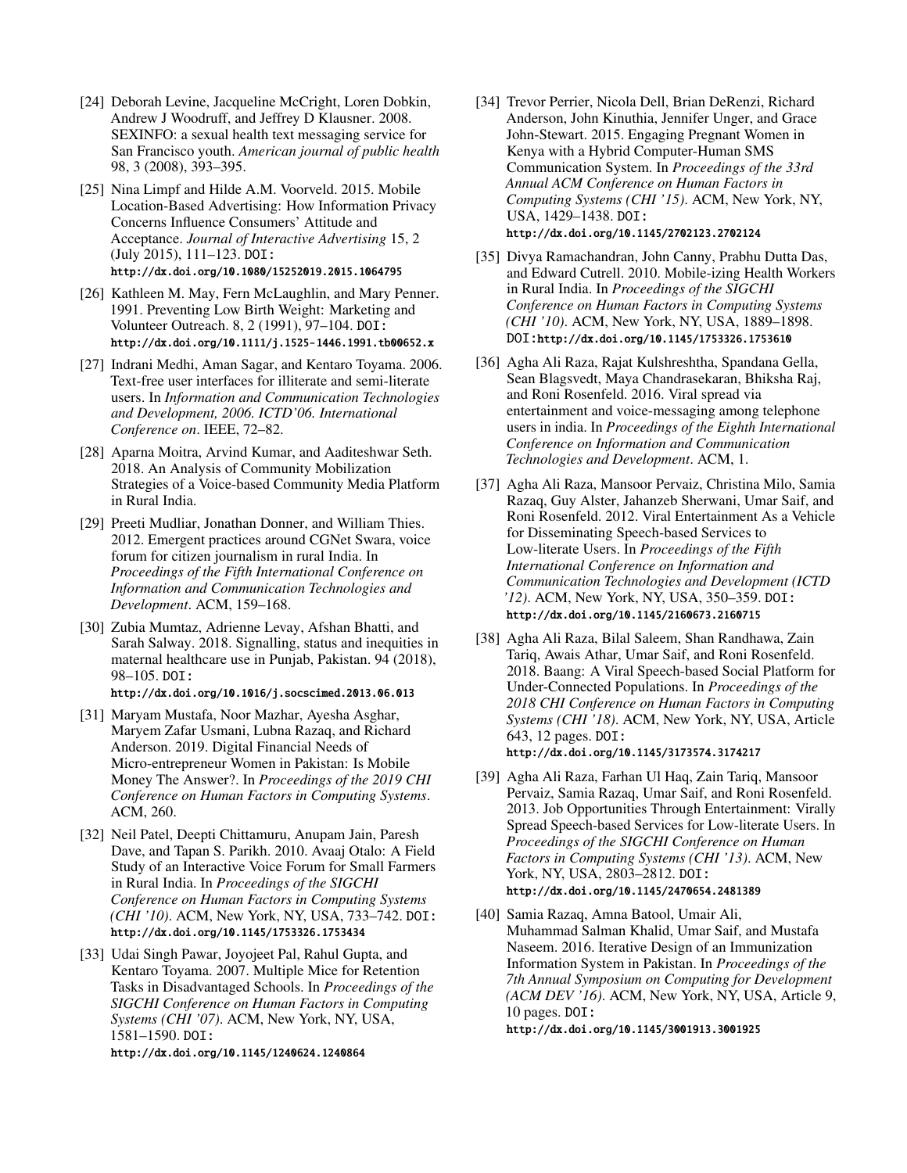- <span id="page-11-13"></span>[24] Deborah Levine, Jacqueline McCright, Loren Dobkin, Andrew J Woodruff, and Jeffrey D Klausner. 2008. SEXINFO: a sexual health text messaging service for San Francisco youth. *American journal of public health* 98, 3 (2008), 393–395.
- <span id="page-11-14"></span>[25] Nina Limpf and Hilde A.M. Voorveld. 2015. Mobile Location-Based Advertising: How Information Privacy Concerns Influence Consumers' Attitude and Acceptance. *Journal of Interactive Advertising* 15, 2 (July 2015), 111–123. DOI: <http://dx.doi.org/10.1080/15252019.2015.1064795>
- <span id="page-11-6"></span>[26] Kathleen M. May, Fern McLaughlin, and Mary Penner. 1991. Preventing Low Birth Weight: Marketing and Volunteer Outreach. 8, 2 (1991), 97–104. DOI: <http://dx.doi.org/10.1111/j.1525-1446.1991.tb00652.x>
- <span id="page-11-15"></span>[27] Indrani Medhi, Aman Sagar, and Kentaro Toyama. 2006. Text-free user interfaces for illiterate and semi-literate users. In *Information and Communication Technologies and Development, 2006. ICTD'06. International Conference on*. IEEE, 72–82.
- <span id="page-11-2"></span>[28] Aparna Moitra, Arvind Kumar, and Aaditeshwar Seth. 2018. An Analysis of Community Mobilization Strategies of a Voice-based Community Media Platform in Rural India.
- <span id="page-11-9"></span>[29] Preeti Mudliar, Jonathan Donner, and William Thies. 2012. Emergent practices around CGNet Swara, voice forum for citizen journalism in rural India. In *Proceedings of the Fifth International Conference on Information and Communication Technologies and Development*. ACM, 159–168.
- <span id="page-11-5"></span>[30] Zubia Mumtaz, Adrienne Levay, Afshan Bhatti, and Sarah Salway. 2018. Signalling, status and inequities in maternal healthcare use in Punjab, Pakistan. 94 (2018), 98–105. DOI: <http://dx.doi.org/10.1016/j.socscimed.2013.06.013>
- <span id="page-11-7"></span>[31] Maryam Mustafa, Noor Mazhar, Ayesha Asghar, Maryem Zafar Usmani, Lubna Razaq, and Richard Anderson. 2019. Digital Financial Needs of Micro-entrepreneur Women in Pakistan: Is Mobile Money The Answer?. In *Proceedings of the 2019 CHI Conference on Human Factors in Computing Systems*. ACM, 260.
- <span id="page-11-0"></span>[32] Neil Patel, Deepti Chittamuru, Anupam Jain, Paresh Dave, and Tapan S. Parikh. 2010. Avaaj Otalo: A Field Study of an Interactive Voice Forum for Small Farmers in Rural India. In *Proceedings of the SIGCHI Conference on Human Factors in Computing Systems (CHI '10)*. ACM, New York, NY, USA, 733–742. DOI: <http://dx.doi.org/10.1145/1753326.1753434>
- <span id="page-11-1"></span>[33] Udai Singh Pawar, Joyojeet Pal, Rahul Gupta, and Kentaro Toyama. 2007. Multiple Mice for Retention Tasks in Disadvantaged Schools. In *Proceedings of the SIGCHI Conference on Human Factors in Computing Systems (CHI '07)*. ACM, New York, NY, USA, 1581–1590. DOI: <http://dx.doi.org/10.1145/1240624.1240864>
- <span id="page-11-12"></span>[34] Trevor Perrier, Nicola Dell, Brian DeRenzi, Richard Anderson, John Kinuthia, Jennifer Unger, and Grace John-Stewart. 2015. Engaging Pregnant Women in Kenya with a Hybrid Computer-Human SMS Communication System. In *Proceedings of the 33rd Annual ACM Conference on Human Factors in Computing Systems (CHI '15)*. ACM, New York, NY, USA, 1429–1438. DOI: <http://dx.doi.org/10.1145/2702123.2702124>
- <span id="page-11-10"></span>[35] Divya Ramachandran, John Canny, Prabhu Dutta Das, and Edward Cutrell. 2010. Mobile-izing Health Workers in Rural India. In *Proceedings of the SIGCHI Conference on Human Factors in Computing Systems (CHI '10)*. ACM, New York, NY, USA, 1889–1898. DOI:<http://dx.doi.org/10.1145/1753326.1753610>
- <span id="page-11-16"></span>[36] Agha Ali Raza, Rajat Kulshreshtha, Spandana Gella, Sean Blagsvedt, Maya Chandrasekaran, Bhiksha Raj, and Roni Rosenfeld. 2016. Viral spread via entertainment and voice-messaging among telephone users in india. In *Proceedings of the Eighth International Conference on Information and Communication Technologies and Development*. ACM, 1.
- <span id="page-11-8"></span>[37] Agha Ali Raza, Mansoor Pervaiz, Christina Milo, Samia Razaq, Guy Alster, Jahanzeb Sherwani, Umar Saif, and Roni Rosenfeld. 2012. Viral Entertainment As a Vehicle for Disseminating Speech-based Services to Low-literate Users. In *Proceedings of the Fifth International Conference on Information and Communication Technologies and Development (ICTD '12)*. ACM, New York, NY, USA, 350–359. DOI: <http://dx.doi.org/10.1145/2160673.2160715>
- <span id="page-11-4"></span>[38] Agha Ali Raza, Bilal Saleem, Shan Randhawa, Zain Tariq, Awais Athar, Umar Saif, and Roni Rosenfeld. 2018. Baang: A Viral Speech-based Social Platform for Under-Connected Populations. In *Proceedings of the 2018 CHI Conference on Human Factors in Computing Systems (CHI '18)*. ACM, New York, NY, USA, Article 643, 12 pages. DOI: <http://dx.doi.org/10.1145/3173574.3174217>
- <span id="page-11-3"></span>[39] Agha Ali Raza, Farhan Ul Haq, Zain Tariq, Mansoor Pervaiz, Samia Razaq, Umar Saif, and Roni Rosenfeld. 2013. Job Opportunities Through Entertainment: Virally Spread Speech-based Services for Low-literate Users. In *Proceedings of the SIGCHI Conference on Human Factors in Computing Systems (CHI '13)*. ACM, New York, NY, USA, 2803–2812. DOI: <http://dx.doi.org/10.1145/2470654.2481389>
- <span id="page-11-11"></span>[40] Samia Razaq, Amna Batool, Umair Ali, Muhammad Salman Khalid, Umar Saif, and Mustafa Naseem. 2016. Iterative Design of an Immunization Information System in Pakistan. In *Proceedings of the 7th Annual Symposium on Computing for Development (ACM DEV '16)*. ACM, New York, NY, USA, Article 9, 10 pages. DOI:

<http://dx.doi.org/10.1145/3001913.3001925>